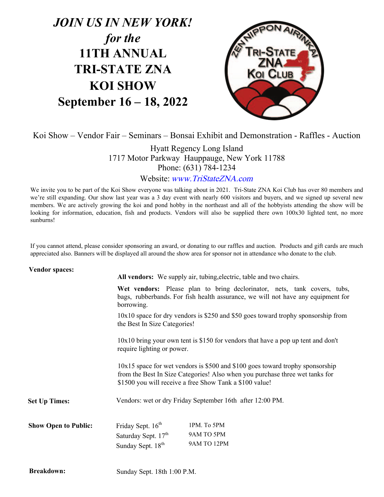# *JOIN US IN NEW YORK! for the* **11TH ANNUAL TRI-STATE ZNA KOI SHOW September 16 – 18, 2022**



Koi Show – Vendor Fair – Seminars – Bonsai Exhibit and Demonstration - Raffles - Auction

Hyatt Regency Long Island 1717 Motor Parkway Hauppauge, New York 11788 Phone: (631) 784-1234

Website: www.TriStateZNA.com

We invite you to be part of the Koi Show everyone was talking about in 2021. Tri-State ZNA Koi Club has over 80 members and we're still expanding. Our show last year was a 3 day event with nearly 600 visitors and buyers, and we signed up several new members. We are actively growing the koi and pond hobby in the northeast and all of the hobbyists attending the show will be looking for information, education, fish and products. Vendors will also be supplied there own 100x30 lighted tent, no more sunburns!

If you cannot attend, please consider sponsoring an award, or donating to our raffles and auction. Products and gift cards are much appreciated also. Banners will be displayed all around the show area for sponsor not in attendance who donate to the club.

| <b>Vendor spaces:</b>       |                                                                                                                                                                                                                                                                                                                                                                                                                                                                       | All vendors: We supply air, tubing, electric, table and two chairs.                                                                                          |  |
|-----------------------------|-----------------------------------------------------------------------------------------------------------------------------------------------------------------------------------------------------------------------------------------------------------------------------------------------------------------------------------------------------------------------------------------------------------------------------------------------------------------------|--------------------------------------------------------------------------------------------------------------------------------------------------------------|--|
|                             | borrowing.                                                                                                                                                                                                                                                                                                                                                                                                                                                            | Wet vendors: Please plan to bring declorinator, nets, tank covers, tubs,<br>bags, rubberbands. For fish health assurance, we will not have any equipment for |  |
|                             | $10x10$ space for dry vendors is \$250 and \$50 goes toward trophy sponsorship from<br>the Best In Size Categories!<br>$10x10$ bring your own tent is \$150 for vendors that have a pop up tent and don't<br>require lighting or power.<br>$10x15$ space for wet vendors is \$500 and \$100 goes toward trophy sponsorship<br>from the Best In Size Categories! Also when you purchase three wet tanks for<br>\$1500 you will receive a free Show Tank a \$100 value! |                                                                                                                                                              |  |
|                             |                                                                                                                                                                                                                                                                                                                                                                                                                                                                       |                                                                                                                                                              |  |
|                             |                                                                                                                                                                                                                                                                                                                                                                                                                                                                       |                                                                                                                                                              |  |
| <b>Set Up Times:</b>        | Vendors: wet or dry Friday September 16th after 12:00 PM.                                                                                                                                                                                                                                                                                                                                                                                                             |                                                                                                                                                              |  |
| <b>Show Open to Public:</b> | Friday Sept. 16 <sup>th</sup><br>Saturday Sept. 17 <sup>th</sup><br>Sunday Sept. 18 <sup>th</sup>                                                                                                                                                                                                                                                                                                                                                                     | 1PM. To 5PM<br>9AM TO 5PM<br>9AM TO 12PM                                                                                                                     |  |
|                             |                                                                                                                                                                                                                                                                                                                                                                                                                                                                       |                                                                                                                                                              |  |

**Breakdown:**

Sunday Sept. 18th 1:00 P.M.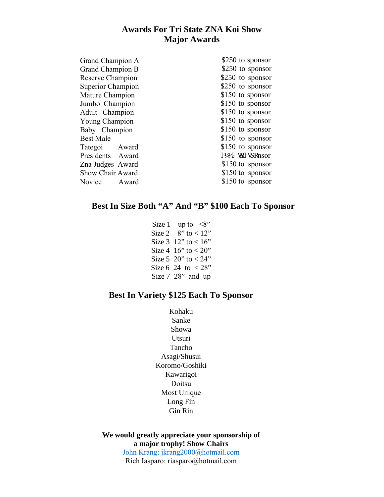# **Awards For Tri State ZNA Koi Show Major Awards**

| Grand Champion A        | \$250 to sponsor    |
|-------------------------|---------------------|
| <b>Grand Champion B</b> | \$250 to sponsor    |
| Reserve Champion        | \$250 to sponsor    |
| Superior Champion       | \$250 to sponsor    |
| Mature Champion         | \$150 to sponsor    |
| Jumbo Champion          | \$150 to sponsor    |
| Adult Champion          | \$150 to sponsor    |
| Young Champion          | \$150 to sponsor    |
| Baby Champion           | $$150$ to sponsor   |
| <b>Best Male</b>        | $$150$ to sponsor   |
| Tategoi Award           | $$150$ to sponsor   |
| Presidents Award        | $&372$ vq" ur qnsor |
| Zna Judges Award        | $$150$ to sponsor   |
| Show Chair Award        | \$150 to sponsor    |
| Novice Award            | $$150$ to sponsor   |

## **Best In Size Both "A" And "B" \$100 Each To Sponsor**

Size 1 up to  $\langle 8"$ Size 2  $8"$  to  $< 12"$ Size  $3 \ 12"$  to  $< 16"$ Size 4  $16"$  to  $< 20"$ Size 5 20" to  $< 24"$ Size 6 24 to  $< 28$ " Size 7 28" and up

# **Best In Variety \$125 Each To Sponsor**

Kohaku Sanke Showa Utsuri Tancho Asagi/Shusui Koromo/Goshiki Kawarigoi Doitsu Most Unique Long Fin Gin Rin

**We would [greatly appreciate your sponsorship](mailto:jim2142003@yahoo.com) of a major trophy! Show Chairs**  John Krang: jkrang2000@hotmail.com Rich Iasparo: riasparo@hotmail.com